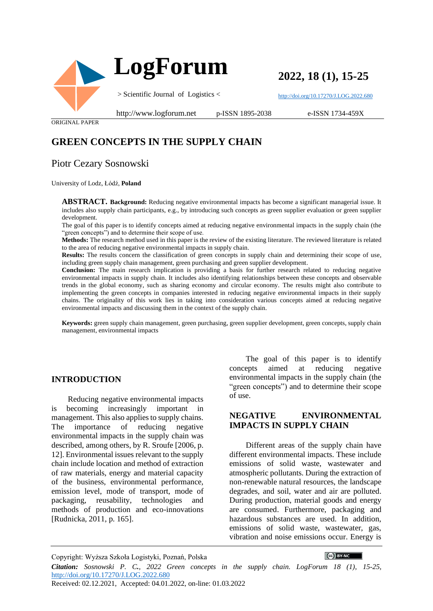

**2022, 18 (1), 15-25**

<http://doi.org/10.17270/J.LOG.2022.680>

ORIGINAL PAPER

http://www.logforum.net p-ISSN 1895-2038

e-ISSN 1734-459X

# **GREEN CONCEPTS IN THE SUPPLY CHAIN**

## Piotr Cezary Sosnowski

University of Lodz, Łódź, **Poland**

**ABSTRACT. Background:** Reducing negative environmental impacts has become a significant managerial issue. It includes also supply chain participants, e.g., by introducing such concepts as green supplier evaluation or green supplier development.

The goal of this paper is to identify concepts aimed at reducing negative environmental impacts in the supply chain (the "green concepts") and to determine their scope of use.

**Methods:** The research method used in this paper is the review of the existing literature. The reviewed literature is related to the area of reducing negative environmental impacts in supply chain.

**Results:** The results concern the classification of green concepts in supply chain and determining their scope of use, including green supply chain management, green purchasing and green supplier development.

**Conclusion:** The main research implication is providing a basis for further research related to reducing negative environmental impacts in supply chain. It includes also identifying relationships between these concepts and observable trends in the global economy, such as sharing economy and circular economy. The results might also contribute to implementing the green concepts in companies interested in reducing negative environmental impacts in their supply chains. The originality of this work lies in taking into consideration various concepts aimed at reducing negative environmental impacts and discussing them in the context of the supply chain.

**Keywords:** green supply chain management, green purchasing, green supplier development, green concepts, supply chain management, environmental impacts

#### **INTRODUCTION**

Reducing negative environmental impacts is becoming increasingly important in management. This also applies to supply chains. The importance of reducing negative environmental impacts in the supply chain was described, among others, by R. Sroufe [2006, p. 12]. Environmental issues relevant to the supply chain include location and method of extraction of raw materials, energy and material capacity of the business, environmental performance, emission level, mode of transport, mode of packaging, reusability, technologies and methods of production and eco-innovations [Rudnicka, 2011, p. 165].

The goal of this paper is to identify concepts aimed at reducing negative environmental impacts in the supply chain (the "green concepts") and to determine their scope of use.

#### **NEGATIVE ENVIRONMENTAL IMPACTS IN SUPPLY CHAIN**

Different areas of the supply chain have different environmental impacts. These include emissions of solid waste, wastewater and atmospheric pollutants. During the extraction of non-renewable natural resources, the landscape degrades, and soil, water and air are polluted. During production, material goods and energy are consumed. Furthermore, packaging and hazardous substances are used. In addition, emissions of solid waste, wastewater, gas, vibration and noise emissions occur. Energy is

 $(G)$  BY-NC

Copyright: Wyższa Szkoła Logistyki, Poznań, Polska

*Citation: Sosnowski P. C., 2022 Green concepts in the supply chain. LogForum 18 (1), 15-25,*  <http://doi.org/10.17270/J.LOG.2022.680>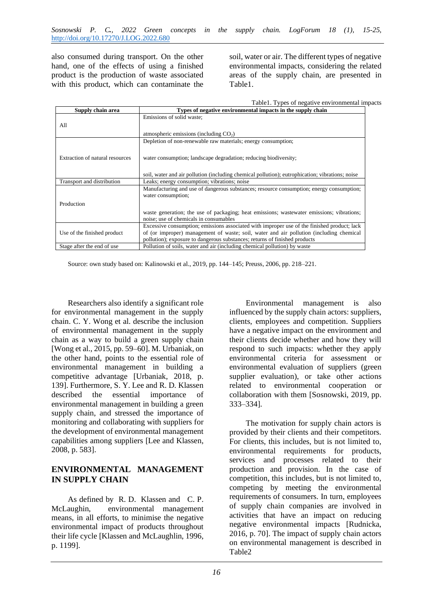also consumed during transport. On the other hand, one of the effects of using a finished product is the production of waste associated with this product, which can contaminate the soil, water or air. The different types of negative environmental impacts, considering the related areas of the supply chain, are presented in [Table1.](#page-1-0)

|  | Table1. Types of negative environmental impacts |  |
|--|-------------------------------------------------|--|
|  |                                                 |  |

<span id="page-1-0"></span>

| Supply chain area               | Types of negative environmental impacts in the supply chain                                     |  |
|---------------------------------|-------------------------------------------------------------------------------------------------|--|
|                                 | Emissions of solid waste:                                                                       |  |
| All                             |                                                                                                 |  |
|                                 | atmospheric emissions (including $CO2$ )                                                        |  |
|                                 | Depletion of non-renewable raw materials; energy consumption;                                   |  |
|                                 |                                                                                                 |  |
| Extraction of natural resources | water consumption; landscape degradation; reducing biodiversity;                                |  |
|                                 |                                                                                                 |  |
|                                 | soil, water and air pollution (including chemical pollution); eutrophication; vibrations; noise |  |
| Transport and distribution      | Leaks; energy consumption; vibrations; noise                                                    |  |
|                                 | Manufacturing and use of dangerous substances; resource consumption; energy consumption;        |  |
|                                 |                                                                                                 |  |
|                                 | water consumption;                                                                              |  |
| Production                      |                                                                                                 |  |
|                                 | waste generation; the use of packaging; heat emissions; wastewater emissions; vibrations;       |  |
|                                 | noise; use of chemicals in consumables                                                          |  |
|                                 | Excessive consumption; emissions associated with improper use of the finished product; lack     |  |
| Use of the finished product     | of (or improper) management of waste; soil, water and air pollution (including chemical         |  |
|                                 | pollution); exposure to dangerous substances; returns of finished products                      |  |
| Stage after the end of use.     | Pollution of soils, water and air (including chemical pollution) by waste                       |  |

Source: own study based on: Kalinowski et al., 2019, pp. 144–145; Preuss, 2006, pp. 218–221.

Researchers also identify a significant role for environmental management in the supply chain. C. Y. Wong et al. describe the inclusion of environmental management in the supply chain as a way to build a green supply chain [Wong et al., 2015, pp. 59–60]. M. Urbaniak, on the other hand, points to the essential role of environmental management in building a competitive advantage [Urbaniak, 2018, p. 139]. Furthermore, S. Y. Lee and R. D. Klassen described the essential importance of environmental management in building a green supply chain, and stressed the importance of monitoring and collaborating with suppliers for the development of environmental management capabilities among suppliers [Lee and Klassen, 2008, p. 583].

#### **ENVIRONMENTAL MANAGEMENT IN SUPPLY CHAIN**

As defined by R. D. Klassen and C. P. McLaughin, environmental management means, in all efforts, to minimise the negative environmental impact of products throughout their life cycle [Klassen and McLaughlin, 1996, p. 1199].

Environmental management is also influenced by the supply chain actors: suppliers, clients, employees and competition. Suppliers have a negative impact on the environment and their clients decide whether and how they will respond to such impacts: whether they apply environmental criteria for assessment or environmental evaluation of suppliers (green supplier evaluation), or take other actions related to environmental cooperation or collaboration with them [Sosnowski, 2019, pp. 333–334].

The motivation for supply chain actors is provided by their clients and their competitors. For clients, this includes, but is not limited to, environmental requirements for products, services and processes related to their production and provision. In the case of competition, this includes, but is not limited to, competing by meeting the environmental requirements of consumers. In turn, employees of supply chain companies are involved in activities that have an impact on reducing negative environmental impacts [Rudnicka, 2016, p. 70]. The impact of supply chain actors on environmental management is described in [Table2](#page-2-0)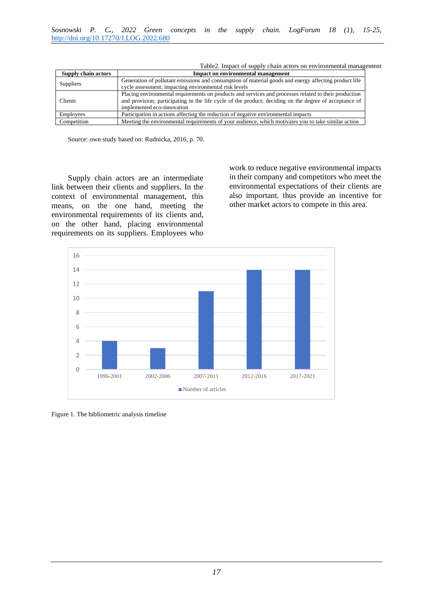<span id="page-2-0"></span>

| Supply chain actors | <b>Impact on environmental management</b>                                                              |  |  |
|---------------------|--------------------------------------------------------------------------------------------------------|--|--|
| Suppliers           | Generation of pollutant emissions and consumption of material goods and energy affecting product life  |  |  |
|                     | cycle assessment; impacting environmental risk levels                                                  |  |  |
| <b>Clients</b>      | Placing environmental requirements on products and services and processes related to their production  |  |  |
|                     | and provision; participating in the life cycle of the product; deciding on the degree of acceptance of |  |  |
|                     | implemented eco-innovation                                                                             |  |  |
| Employees           | Participation in actions affecting the reduction of negative environmental impacts                     |  |  |
| Competition         | Meeting the environmental requirements of your audience, which motivates you to take similar action    |  |  |

Table2. Impact of supply chain actors on environmental management

Source: own study based on: Rudnicka, 2016, p. 70.

Supply chain actors are an intermediate link between their clients and suppliers. In the context of environmental management, this means, on the one hand, meeting the environmental requirements of its clients and, on the other hand, placing environmental requirements on its suppliers. Employees who work to reduce negative environmental impacts in their company and competitors who meet the environmental expectations of their clients are also important. thus provide an incentive for other market actors to compete in this area.



<span id="page-2-1"></span>Figure 1. The bibliometric analysis timeline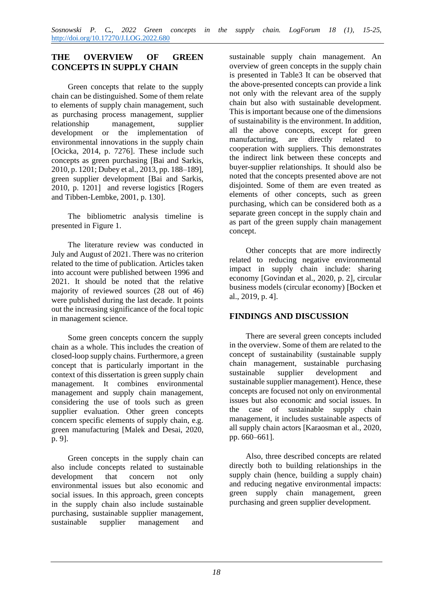### **THE OVERVIEW OF GREEN CONCEPTS IN SUPPLY CHAIN**

Green concepts that relate to the supply chain can be distinguished. Some of them relate to elements of supply chain management, such as purchasing process management, supplier relationship management, supplier development or the implementation of environmental innovations in the supply chain [Ocicka, 2014, p. 7276]. These include such concepts as green purchasing [Bai and Sarkis, 2010, p. 1201; Dubey et al., 2013, pp. 188–189], green supplier development [Bai and Sarkis, 2010, p. 1201] and reverse logistics [Rogers and Tibben-Lembke, 2001, p. 130].

The bibliometric analysis timeline is presented in [Figure 1.](#page-2-1)

The literature review was conducted in July and August of 2021. There was no criterion related to the time of publication. Articles taken into account were published between 1996 and 2021. It should be noted that the relative majority of reviewed sources (28 out of 46) were published during the last decade. It points out the increasing significance of the focal topic in management science.

Some green concepts concern the supply chain as a whole. This includes the creation of closed-loop supply chains. Furthermore, a green concept that is particularly important in the context of this dissertation is green supply chain management. It combines environmental management and supply chain management, considering the use of tools such as green supplier evaluation. Other green concepts concern specific elements of supply chain, e.g. green manufacturing [Malek and Desai, 2020, p. 9].

Green concepts in the supply chain can also include concepts related to sustainable development that concern not only environmental issues but also economic and social issues. In this approach, green concepts in the supply chain also include sustainable purchasing, sustainable supplier management, sustainable supplier management and

sustainable supply chain management. An overview of green concepts in the supply chain is presented in [Table3](#page-4-0) It can be observed that the above-presented concepts can provide a link not only with the relevant area of the supply chain but also with sustainable development. This is important because one of the dimensions of sustainability is the environment. In addition, all the above concepts, except for green manufacturing, are directly related to cooperation with suppliers. This demonstrates the indirect link between these concepts and buyer-supplier relationships. It should also be noted that the concepts presented above are not disjointed. Some of them are even treated as elements of other concepts, such as green purchasing, which can be considered both as a separate green concept in the supply chain and as part of the green supply chain management concept.

Other concepts that are more indirectly related to reducing negative environmental impact in supply chain include: sharing economy [Govindan et al., 2020, p. 2], circular business models (circular economy) [Bocken et al., 2019, p. 4].

### **FINDINGS AND DISCUSSION**

There are several green concepts included in the overview. Some of them are related to the concept of sustainability (sustainable supply chain management, sustainable purchasing sustainable supplier development and sustainable supplier management). Hence, these concepts are focused not only on environmental issues but also economic and social issues. In the case of sustainable supply chain management, it includes sustainable aspects of all supply chain actors [Karaosman et al., 2020, pp. 660–661].

Also, three described concepts are related directly both to building relationships in the supply chain (hence, building a supply chain) and reducing negative environmental impacts: green supply chain management, green purchasing and green supplier development.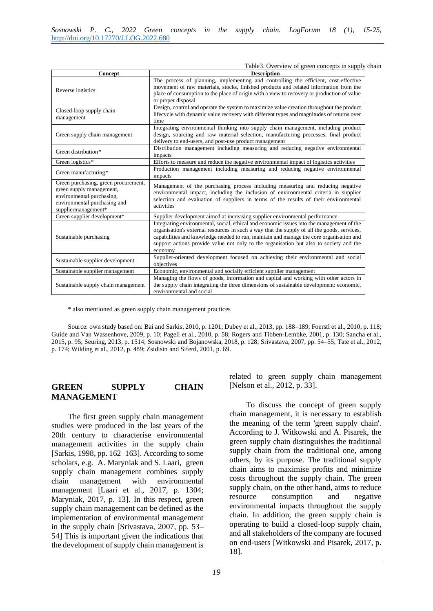Table3. Overview of green concepts in supply chain

<span id="page-4-0"></span>

| Concept                                                                                                                                              | <b>Description</b>                                                                                                                                                                                                                                                                                                                                                                       |
|------------------------------------------------------------------------------------------------------------------------------------------------------|------------------------------------------------------------------------------------------------------------------------------------------------------------------------------------------------------------------------------------------------------------------------------------------------------------------------------------------------------------------------------------------|
| Reverse logistics                                                                                                                                    | The process of planning, implementing and controlling the efficient, cost-effective<br>movement of raw materials, stocks, finished products and related information from the<br>place of consumption to the place of origin with a view to recovery or production of value<br>or proper disposal                                                                                         |
| Closed-loop supply chain<br>management                                                                                                               | Design, control and operate the system to maximize value creation throughout the product<br>lifecycle with dynamic value recovery with different types and magnitudes of returns over<br>time                                                                                                                                                                                            |
| Green supply chain management                                                                                                                        | Integrating environmental thinking into supply chain management, including product<br>design, sourcing and raw material selection, manufacturing processes, final product<br>delivery to end-users, and post-use product management                                                                                                                                                      |
| Green distribution*                                                                                                                                  | Distribution management including measuring and reducing negative environmental<br>impacts                                                                                                                                                                                                                                                                                               |
| Green logistics*                                                                                                                                     | Efforts to measure and reduce the negative environmental impact of logistics activities                                                                                                                                                                                                                                                                                                  |
| Green manufacturing*                                                                                                                                 | Production management including measuring and reducing negative environmental<br>impacts                                                                                                                                                                                                                                                                                                 |
| Green purchasing, green procurement,<br>green supply management,<br>environmental purchasing,<br>environmental purchasing and<br>suppliermanagement* | Management of the purchasing process including measuring and reducing negative<br>environmental impact, including the inclusion of environmental criteria in supplier<br>selection and evaluation of suppliers in terms of the results of their environmental<br>activities                                                                                                              |
| Green supplier development*                                                                                                                          | Supplier development aimed at increasing supplier environmental performance                                                                                                                                                                                                                                                                                                              |
| Sustainable purchasing                                                                                                                               | Integrating environmental, social, ethical and economic issues into the management of the<br>organisation's external resources in such a way that the supply of all the goods, services,<br>capabilities and knowledge needed to run, maintain and manage the core organisation and<br>support actions provide value not only to the organisation but also to society and the<br>economy |
| Sustainable supplier development                                                                                                                     | Supplier-oriented development focused on achieving their environmental and social<br>objectives                                                                                                                                                                                                                                                                                          |
| Sustainable supplier management                                                                                                                      | Economic, environmental and socially efficient supplier management                                                                                                                                                                                                                                                                                                                       |
| Sustainable supply chain management                                                                                                                  | Managing the flows of goods, information and capital and working with other actors in<br>the supply chain integrating the three dimensions of sustainable development: economic,<br>environmental and social                                                                                                                                                                             |

\* also mentioned as green supply chain management practices

Source: own study based on: Bai and Sarkis, 2010, p. 1201; Dubey et al., 2013, pp. 188–189; Foerstl et al., 2010, p. 118; Guide and Van Wassenhove, 2009, p. 10; Pagell et al., 2010, p. 58; Rogers and Tibben-Lembke, 2001, p. 130; Sancha et al., 2015, p. 95; Seuring, 2013, p. 1514; Sosnowski and Bojanowska, 2018, p. 128; Srivastava, 2007, pp. 54–55; Tate et al., 2012, p. 174; Wilding et al., 2012, p. 489; Zsidisin and Siferd, 2001, p. 69.

#### **GREEN SUPPLY CHAIN MANAGEMENT**

The first green supply chain management studies were produced in the last years of the 20th century to characterise environmental management activities in the supply chain [Sarkis, 1998, pp. 162–163]. According to some scholars, e.g. A. Maryniak and S. Laari, green supply chain management combines supply chain management with environmental management [Laari et al., 2017, p. 1304; Maryniak, 2017, p. 13]. In this respect, green supply chain management can be defined as the implementation of environmental management in the supply chain [Srivastava, 2007, pp. 53– 54] This is important given the indications that the development of supply chain management is

related to green supply chain management [Nelson et al., 2012, p. 33].

To discuss the concept of green supply chain management, it is necessary to establish the meaning of the term 'green supply chain'. According to J. Witkowski and A. Pisarek, the green supply chain distinguishes the traditional supply chain from the traditional one, among others, by its purpose. The traditional supply chain aims to maximise profits and minimize costs throughout the supply chain. The green supply chain, on the other hand, aims to reduce resource consumption and negative environmental impacts throughout the supply chain. In addition, the green supply chain is operating to build a closed-loop supply chain, and all stakeholders of the company are focused on end-users [Witkowski and Pisarek, 2017, p. 18].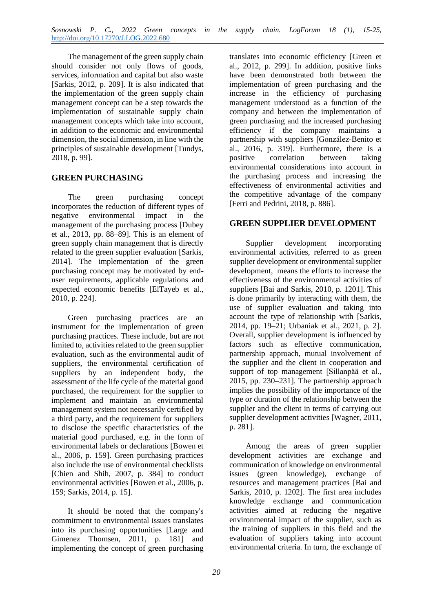The management of the green supply chain should consider not only flows of goods, services, information and capital but also waste [Sarkis, 2012, p. 209]. It is also indicated that the implementation of the green supply chain management concept can be a step towards the implementation of sustainable supply chain management concepts which take into account, in addition to the economic and environmental dimension, the social dimension, in line with the principles of sustainable development [Tundys, 2018, p. 99].

### **GREEN PURCHASING**

The green purchasing concept incorporates the reduction of different types of negative environmental impact in the management of the purchasing process [Dubey et al., 2013, pp. 88–89]. This is an element of green supply chain management that is directly related to the green supplier evaluation [Sarkis, 2014]. The implementation of the green purchasing concept may be motivated by enduser requirements, applicable regulations and expected economic benefits [ElTayeb et al., 2010, p. 224].

Green purchasing practices are an instrument for the implementation of green purchasing practices*.* These include, but are not limited to, activities related to the green supplier evaluation, such as the environmental audit of suppliers, the environmental certification of suppliers by an independent body, the assessment of the life cycle of the material good purchased, the requirement for the supplier to implement and maintain an environmental management system not necessarily certified by a third party, and the requirement for suppliers to disclose the specific characteristics of the material good purchased, e.g. in the form of environmental labels or declarations [Bowen et al., 2006, p. 159]. Green purchasing practices also include the use of environmental checklists [Chien and Shih, 2007, p. 384] to conduct environmental activities [Bowen et al., 2006, p. 159; Sarkis, 2014, p. 15].

It should be noted that the company's commitment to environmental issues translates into its purchasing opportunities [Large and Gimenez Thomsen, 2011, p. 181] and implementing the concept of green purchasing

translates into economic efficiency [Green et al., 2012, p. 299]. In addition, positive links have been demonstrated both between the implementation of green purchasing and the increase in the efficiency of purchasing management understood as a function of the company and between the implementation of green purchasing and the increased purchasing efficiency if the company maintains a partnership with suppliers [González-Benito et al., 2016, p. 319]. Furthermore, there is a positive correlation between taking environmental considerations into account in the purchasing process and increasing the effectiveness of environmental activities and the competitive advantage of the company [Ferri and Pedrini, 2018, p. 886].

### **GREEN SUPPLIER DEVELOPMENT**

Supplier development incorporating environmental activities, referred to as green supplier development or environmental supplier development*,* means the efforts to increase the effectiveness of the environmental activities of suppliers [Bai and Sarkis, 2010, p. 1201]. This is done primarily by interacting with them, the use of supplier evaluation and taking into account the type of relationship with [Sarkis, 2014, pp. 19–21; Urbaniak et al., 2021, p. 2]. Overall, supplier development is influenced by factors such as effective communication, partnership approach, mutual involvement of the supplier and the client in cooperation and support of top management [Sillanpää et al., 2015, pp. 230–231]. The partnership approach implies the possibility of the importance of the type or duration of the relationship between the supplier and the client in terms of carrying out supplier development activities [Wagner, 2011, p. 281].

Among the areas of green supplier development activities are exchange and communication of knowledge on environmental issues (green knowledge), exchange of resources and management practices [Bai and Sarkis, 2010, p. 1202]. The first area includes knowledge exchange and communication activities aimed at reducing the negative environmental impact of the supplier, such as the training of suppliers in this field and the evaluation of suppliers taking into account environmental criteria. In turn, the exchange of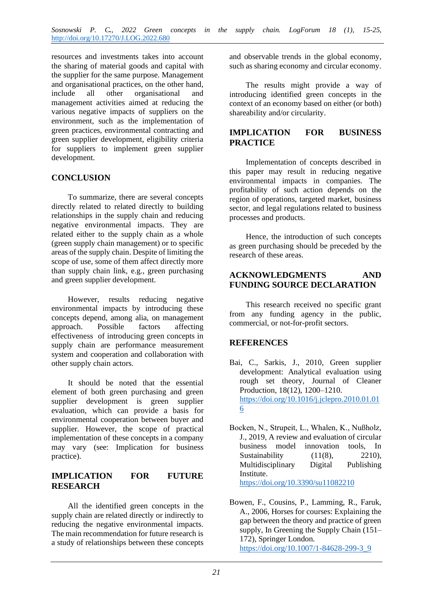resources and investments takes into account the sharing of material goods and capital with the supplier for the same purpose. Management and organisational practices, on the other hand, include all other organisational and management activities aimed at reducing the various negative impacts of suppliers on the environment, such as the implementation of green practices, environmental contracting and green supplier development, eligibility criteria for suppliers to implement green supplier development.

### **CONCLUSION**

To summarize, there are several concepts directly related to related directly to building relationships in the supply chain and reducing negative environmental impacts. They are related either to the supply chain as a whole (green supply chain management) or to specific areas of the supply chain. Despite of limiting the scope of use, some of them affect directly more than supply chain link, e.g., green purchasing and green supplier development.

However, results reducing negative environmental impacts by introducing these concepts depend, among alia, on management approach. Possible factors affecting effectiveness of introducing green concepts in supply chain are performance measurement system and cooperation and collaboration with other supply chain actors.

It should be noted that the essential element of both green purchasing and green supplier development is green supplier evaluation, which can provide a basis for environmental cooperation between buyer and supplier. However, the scope of practical implementation of these concepts in a company may vary (see: [Implication for business](#page-6-0)  [practice\)](#page-6-0).

### **IMPLICATION FOR FUTURE RESEARCH**

All the identified green concepts in the supply chain are related directly or indirectly to reducing the negative environmental impacts. The main recommendation for future research is a study of relationships between these concepts

and observable trends in the global economy, such as sharing economy and circular economy.

The results might provide a way of introducing identified green concepts in the context of an economy based on either (or both) shareability and/or circularity.

#### <span id="page-6-0"></span>**IMPLICATION FOR BUSINESS PRACTICE**

Implementation of concepts described in this paper may result in reducing negative environmental impacts in companies. The profitability of such action depends on the region of operations, targeted market, business sector, and legal regulations related to business processes and products.

Hence, the introduction of such concepts as green purchasing should be preceded by the research of these areas.

#### **ACKNOWLEDGMENTS AND FUNDING SOURCE DECLARATION**

This research received no specific grant from any funding agency in the public, commercial, or not-for-profit sectors.

### **REFERENCES**

- Bai, C., Sarkis, J., 2010, Green supplier development: Analytical evaluation using rough set theory, Journal of Cleaner Production, 18(12), 1200–1210. [https://doi.org/10.1016/j.jclepro.2010.01.01](https://doi.org/10.1016/j.jclepro.2010.01.016) [6](https://doi.org/10.1016/j.jclepro.2010.01.016)
- Bocken, N., Strupeit, L., Whalen, K., Nußholz, J., 2019, A review and evaluation of circular business model innovation tools, In Sustainability  $(11(8), 2210)$ , Multidisciplinary Digital Publishing Institute. <https://doi.org/10.3390/su11082210>
- Bowen, F., Cousins, P., Lamming, R., Faruk, A., 2006, Horses for courses: Explaining the gap between the theory and practice of green supply, In Greening the Supply Chain (151– 172), Springer London. [https://doi.org/10.1007/1-84628-299-3\\_9](https://doi.org/10.1007/1-84628-299-3_9)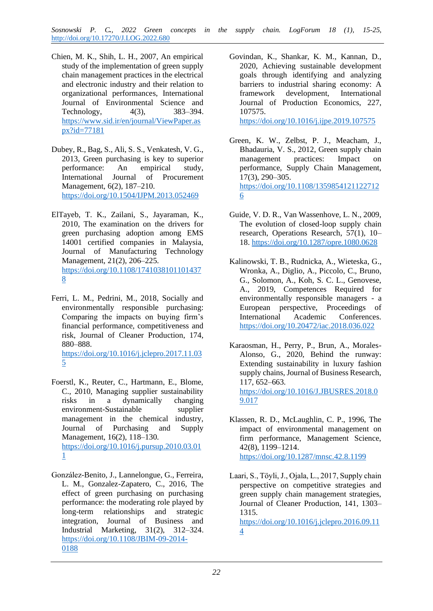*Sosnowski P. C., 2022 Green concepts in the supply chain. LogForum 18 (1), 15-25,*  <http://doi.org/10.17270/J.LOG.2022.680>

- Chien, M. K., Shih, L. H., 2007, An empirical study of the implementation of green supply chain management practices in the electrical and electronic industry and their relation to organizational performances, International Journal of Environmental Science and Technology, 4(3), 383–394. [https://www.sid.ir/en/journal/ViewPaper.as](https://www.sid.ir/en/journal/ViewPaper.aspx?id=77181) [px?id=77181](https://www.sid.ir/en/journal/ViewPaper.aspx?id=77181)
- Dubey, R., Bag, S., Ali, S. S., Venkatesh, V. G., 2013, Green purchasing is key to superior performance: An empirical study, International Journal of Procurement Management, 6(2), 187–210. <https://doi.org/10.1504/IJPM.2013.052469>
- ElTayeb, T. K., Zailani, S., Jayaraman, K., 2010, The examination on the drivers for green purchasing adoption among EMS 14001 certified companies in Malaysia, Journal of Manufacturing Technology Management, 21(2), 206–225. [https://doi.org/10.1108/1741038101101437](https://doi.org/10.1108/17410381011014378) [8](https://doi.org/10.1108/17410381011014378)
- Ferri, L. M., Pedrini, M., 2018, Socially and environmentally responsible purchasing: Comparing the impacts on buying firm's financial performance, competitiveness and risk, Journal of Cleaner Production, 174, 880–888. [https://doi.org/10.1016/j.jclepro.2017.11.03](https://doi.org/10.1016/j.jclepro.2017.11.035) [5](https://doi.org/10.1016/j.jclepro.2017.11.035)
- Foerstl, K., Reuter, C., Hartmann, E., Blome, C., 2010, Managing supplier sustainability risks in a dynamically changing environment-Sustainable supplier management in the chemical industry, Journal of Purchasing and Supply Management, 16(2), 118–130. [https://doi.org/10.1016/j.pursup.2010.03.01](https://doi.org/10.1016/j.pursup.2010.03.011) [1](https://doi.org/10.1016/j.pursup.2010.03.011)
- González-Benito, J., Lannelongue, G., Ferreira, L. M., Gonzalez-Zapatero, C., 2016, The effect of green purchasing on purchasing performance: the moderating role played by long-term relationships and strategic integration, Journal of Business and Industrial Marketing, 31(2), 312–324. [https://doi.org/10.1108/JBIM-09-2014-](https://doi.org/10.1108/JBIM-09-2014-0188) [0188](https://doi.org/10.1108/JBIM-09-2014-0188)

Govindan, K., Shankar, K. M., Kannan, D., 2020, Achieving sustainable development goals through identifying and analyzing barriers to industrial sharing economy: A framework development, International Journal of Production Economics, 227, 107575.

<https://doi.org/10.1016/j.ijpe.2019.107575>

- Green, K. W., Zelbst, P. J., Meacham, J., Bhadauria, V. S., 2012, Green supply chain management practices: Impact on performance, Supply Chain Management, 17(3), 290–305. [https://doi.org/10.1108/1359854121122712](https://doi.org/10.1108/13598541211227126) [6](https://doi.org/10.1108/13598541211227126)
- Guide, V. D. R., Van Wassenhove, L. N., 2009, The evolution of closed-loop supply chain research, Operations Research, 57(1), 10– 18.<https://doi.org/10.1287/opre.1080.0628>
- Kalinowski, T. B., Rudnicka, A., Wieteska, G., Wronka, A., Diglio, A., Piccolo, C., Bruno, G., Solomon, A., Koh, S. C. L., Genovese, A., 2019, Competences Required for environmentally responsible managers - a European perspective, Proceedings of International Academic Conferences. <https://doi.org/10.20472/iac.2018.036.022>
- Karaosman, H., Perry, P., Brun, A., Morales-Alonso, G., 2020, Behind the runway: Extending sustainability in luxury fashion supply chains, Journal of Business Research, 117, 652–663. [https://doi.org/10.1016/J.JBUSRES.2018.0](https://doi.org/10.1016/J.JBUSRES.2018.09.017) [9.017](https://doi.org/10.1016/J.JBUSRES.2018.09.017)
- Klassen, R. D., McLaughlin, C. P., 1996, The impact of environmental management on firm performance, Management Science, 42(8), 1199–1214. <https://doi.org/10.1287/mnsc.42.8.1199>
- Laari, S., Töyli, J., Ojala, L., 2017, Supply chain perspective on competitive strategies and green supply chain management strategies, Journal of Cleaner Production, 141, 1303– 1315.

[https://doi.org/10.1016/j.jclepro.2016.09.11](https://doi.org/10.1016/j.jclepro.2016.09.114) [4](https://doi.org/10.1016/j.jclepro.2016.09.114)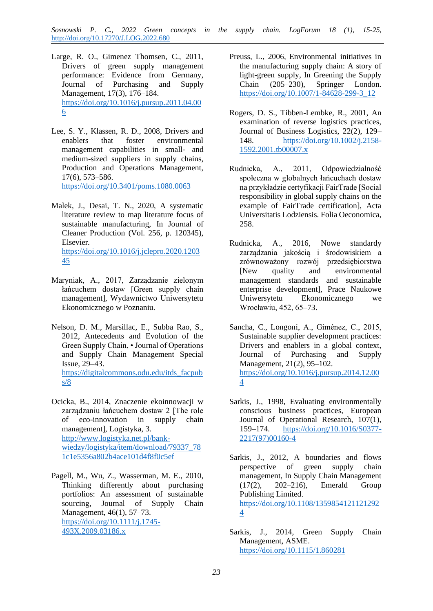*Sosnowski P. C., 2022 Green concepts in the supply chain. LogForum 18 (1), 15-25,*  <http://doi.org/10.17270/J.LOG.2022.680>

- Large, R. O., Gimenez Thomsen, C., 2011, Drivers of green supply management performance: Evidence from Germany, Journal of Purchasing and Supply Management, 17(3), 176–184. [https://doi.org/10.1016/j.pursup.2011.04.00](https://doi.org/10.1016/j.pursup.2011.04.006) [6](https://doi.org/10.1016/j.pursup.2011.04.006)
- Lee, S. Y., Klassen, R. D., 2008, Drivers and enablers that foster environmental management capabilities in small- and medium-sized suppliers in supply chains, Production and Operations Management, 17(6), 573–586. <https://doi.org/10.3401/poms.1080.0063>
- Malek, J., Desai, T. N., 2020, A systematic literature review to map literature focus of sustainable manufacturing, In Journal of Cleaner Production (Vol. 256, p. 120345), Elsevier. [https://doi.org/10.1016/j.jclepro.2020.1203](https://doi.org/10.1016/j.jclepro.2020.120345) [45](https://doi.org/10.1016/j.jclepro.2020.120345)
- Maryniak, A., 2017, Zarządzanie zielonym łańcuchem dostaw [Green supply chain management], Wydawnictwo Uniwersytetu Ekonomicznego w Poznaniu.
- Nelson, D. M., Marsillac, E., Subba Rao, S., 2012, Antecedents and Evolution of the Green Supply Chain, • Journal of Operations and Supply Chain Management Special Issue, 29–43. [https://digitalcommons.odu.edu/itds\\_facpub](https://digitalcommons.odu.edu/itds_facpubs/8) [s/8](https://digitalcommons.odu.edu/itds_facpubs/8)
- Ocicka, B., 2014, Znaczenie ekoinnowacji w zarządzaniu łańcuchem dostaw 2 [The role of eco-innovation in supply chain management], Logistyka, 3. [http://www.logistyka.net.pl/bank](http://www.logistyka.net.pl/bank-wiedzy/logistyka/item/download/79337_781c1e5356a802b4ace101d4f8f0c5ef)[wiedzy/logistyka/item/download/79337\\_78](http://www.logistyka.net.pl/bank-wiedzy/logistyka/item/download/79337_781c1e5356a802b4ace101d4f8f0c5ef) [1c1e5356a802b4ace101d4f8f0c5ef](http://www.logistyka.net.pl/bank-wiedzy/logistyka/item/download/79337_781c1e5356a802b4ace101d4f8f0c5ef)
- Pagell, M., Wu, Z., Wasserman, M. E., 2010, Thinking differently about purchasing portfolios: An assessment of sustainable sourcing, Journal of Supply Chain Management, 46(1), 57–73. [https://doi.org/10.1111/j.1745-](https://doi.org/10.1111/j.1745-493X.2009.03186.x) [493X.2009.03186.x](https://doi.org/10.1111/j.1745-493X.2009.03186.x)
- Preuss, L., 2006, Environmental initiatives in the manufacturing supply chain: A story of light-green supply, In Greening the Supply Chain (205–230), Springer London. [https://doi.org/10.1007/1-84628-299-3\\_12](https://doi.org/10.1007/1-84628-299-3_12)
- Rogers, D. S., Tibben-Lembke, R., 2001, An examination of reverse logistics practices, Journal of Business Logistics, 22(2), 129– 148. [https://doi.org/10.1002/j.2158-](https://doi.org/10.1002/j.2158-1592.2001.tb00007.x) [1592.2001.tb00007.x](https://doi.org/10.1002/j.2158-1592.2001.tb00007.x)
- Rudnicka, A., 2011, Odpowiedzialność społeczna w globalnych łańcuchach dostaw na przykładzie certyfikacji FairTrade [Social responsibility in global supply chains on the example of FairTrade certification], Acta Universitatis Lodziensis. Folia Oeconomica, 258.
- Rudnicka, A., 2016, Nowe standardy zarządzania jakością i środowiskiem a zrównoważony rozwój przedsiębiorstwa [New quality and environmental management standards and sustainable enterprise development], Prace Naukowe Uniwersytetu Ekonomicznego we Wrocławiu, 452, 65–73.
- Sancha, C., Longoni, A., Giménez, C., 2015, Sustainable supplier development practices: Drivers and enablers in a global context, Journal of Purchasing and Supply Management, 21(2), 95–102. [https://doi.org/10.1016/j.pursup.2014.12.00](https://doi.org/10.1016/j.pursup.2014.12.004) [4](https://doi.org/10.1016/j.pursup.2014.12.004)
- Sarkis, J., 1998, Evaluating environmentally conscious business practices, European Journal of Operational Research, 107(1), 159–174. [https://doi.org/10.1016/S0377-](https://doi.org/10.1016/S0377-2217(97)00160-4) [2217\(97\)00160-4](https://doi.org/10.1016/S0377-2217(97)00160-4)
- Sarkis, J., 2012, A boundaries and flows perspective of green supply chain management, In Supply Chain Management (17(2), 202–216), Emerald Group Publishing Limited. [https://doi.org/10.1108/1359854121121292](https://doi.org/10.1108/13598541211212924) [4](https://doi.org/10.1108/13598541211212924)
- Sarkis, J., 2014, Green Supply Chain Management, ASME. <https://doi.org/10.1115/1.860281>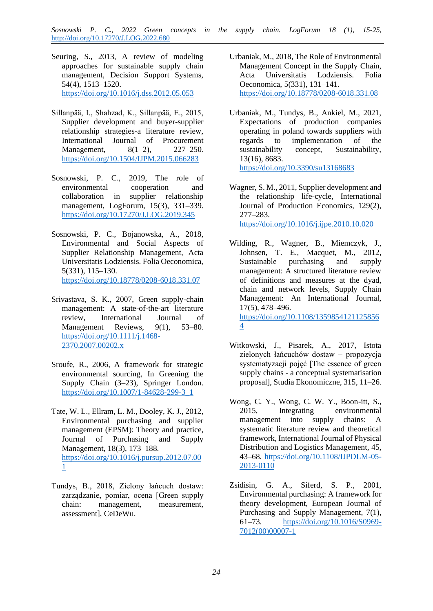- Seuring, S., 2013, A review of modeling approaches for sustainable supply chain management, Decision Support Systems, 54(4), 1513–1520. <https://doi.org/10.1016/j.dss.2012.05.053>
- Sillanpää, I., Shahzad, K., Sillanpää, E., 2015, Supplier development and buyer-supplier relationship strategies-a literature review, International Journal of Procurement Management, 8(1–2), 227–250. <https://doi.org/10.1504/IJPM.2015.066283>
- Sosnowski, P. C., 2019, The role of environmental cooperation and collaboration in supplier relationship management, LogForum, 15(3), 331–339. <https://doi.org/10.17270/J.LOG.2019.345>
- Sosnowski, P. C., Bojanowska, A., 2018, Environmental and Social Aspects of Supplier Relationship Management, Acta Universitatis Lodziensis. Folia Oeconomica, 5(331), 115–130. <https://doi.org/10.18778/0208-6018.331.07>
- Srivastava, S. K., 2007, Green supply-chain management: A state-of-the-art literature review, International Journal of Management Reviews, 9(1), 53–80. [https://doi.org/10.1111/j.1468-](https://doi.org/10.1111/j.1468-2370.2007.00202.x) [2370.2007.00202.x](https://doi.org/10.1111/j.1468-2370.2007.00202.x)
- Sroufe, R., 2006, A framework for strategic environmental sourcing, In Greening the Supply Chain (3–23), Springer London. [https://doi.org/10.1007/1-84628-299-3\\_1](https://doi.org/10.1007/1-84628-299-3_1)
- Tate, W. L., Ellram, L. M., Dooley, K. J., 2012, Environmental purchasing and supplier management (EPSM): Theory and practice, Journal of Purchasing and Supply Management, 18(3), 173–188. [https://doi.org/10.1016/j.pursup.2012.07.00](https://doi.org/10.1016/j.pursup.2012.07.001) [1](https://doi.org/10.1016/j.pursup.2012.07.001)
- Tundys, B., 2018, Zielony łańcuch dostaw: zarządzanie, pomiar, ocena [Green supply chain: management, measurement, assessment], CeDeWu.
- Urbaniak, M., 2018, The Role of Environmental Management Concept in the Supply Chain, Acta Universitatis Lodziensis. Folia Oeconomica, 5(331), 131–141. <https://doi.org/10.18778/0208-6018.331.08>
- Urbaniak, M., Tundys, B., Ankiel, M., 2021, Expectations of production companies operating in poland towards suppliers with regards to implementation of the sustainability concept, Sustainability, 13(16), 8683. <https://doi.org/10.3390/su13168683>
- Wagner, S. M., 2011, Supplier development and the relationship life-cycle, International Journal of Production Economics, 129(2), 277–283. <https://doi.org/10.1016/j.ijpe.2010.10.020>
- Wilding, R., Wagner, B., Miemczyk, J., Johnsen, T. E., Macquet, M., 2012, Sustainable purchasing and supply management: A structured literature review of definitions and measures at the dyad, chain and network levels, Supply Chain Management: An International Journal, 17(5), 478–496. [https://doi.org/10.1108/1359854121125856](https://doi.org/10.1108/13598541211258564) [4](https://doi.org/10.1108/13598541211258564)
- Witkowski, J., Pisarek, A., 2017, Istota zielonych łańcuchów dostaw − propozycja systematyzacji pojęć [The essence of green supply chains - a conceptual systematisation proposal], Studia Ekonomiczne, 315, 11–26.
- Wong, C. Y., Wong, C. W. Y., Boon-itt, S., 2015, Integrating environmental management into supply chains: A systematic literature review and theoretical framework, International Journal of Physical Distribution and Logistics Management, 45, 43–68. [https://doi.org/10.1108/IJPDLM-05-](https://doi.org/10.1108/IJPDLM-05-2013-0110) [2013-0110](https://doi.org/10.1108/IJPDLM-05-2013-0110)
- Zsidisin, G. A., Siferd, S. P., 2001, Environmental purchasing: A framework for theory development, European Journal of Purchasing and Supply Management, 7(1), 61–73. [https://doi.org/10.1016/S0969-](https://doi.org/10.1016/S0969-7012(00)00007-1) [7012\(00\)00007-1](https://doi.org/10.1016/S0969-7012(00)00007-1)